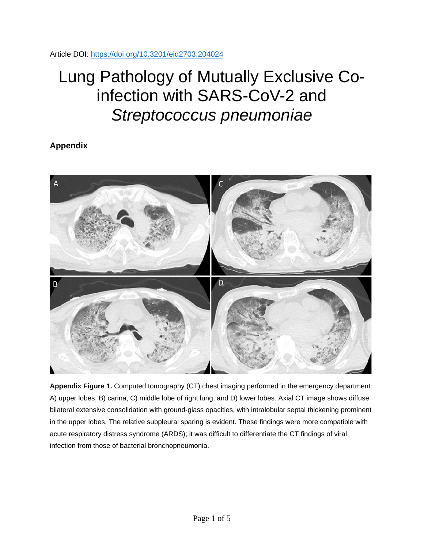Article DOI:<https://doi.org/10.3201/eid2703.204024>

## Lung Pathology of Mutually Exclusive Coinfection with SARS-CoV-2 and *Streptococcus pneumoniae*

**Appendix**



**Appendix Figure 1.** Computed tomography (CT) chest imaging performed in the emergency department: A) upper lobes, B) carina, C) middle lobe of right lung, and D) lower lobes. Axial CT image shows diffuse bilateral extensive consolidation with ground-glass opacities, with intralobular septal thickening prominent in the upper lobes. The relative subpleural sparing is evident. These findings were more compatible with acute respiratory distress syndrome (ARDS); it was difficult to differentiate the CT findings of viral infection from those of bacterial bronchopneumonia.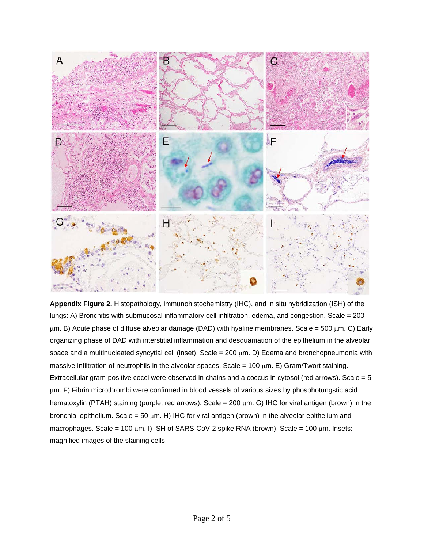

**Appendix Figure 2.** Histopathology, immunohistochemistry (IHC), and in situ hybridization (ISH) of the lungs: A) Bronchitis with submucosal inflammatory cell infiltration, edema, and congestion. Scale = 200  $\mu$ m. B) Acute phase of diffuse alveolar damage (DAD) with hyaline membranes. Scale = 500  $\mu$ m. C) Early organizing phase of DAD with interstitial inflammation and desquamation of the epithelium in the alveolar space and a multinucleated syncytial cell (inset). Scale =  $200 \mu m$ . D) Edema and bronchopneumonia with massive infiltration of neutrophils in the alveolar spaces. Scale =  $100 \mu m$ . E) Gram/Twort staining. Extracellular gram-positive cocci were observed in chains and a coccus in cytosol (red arrows). Scale = 5 µm. F) Fibrin microthrombi were confirmed in blood vessels of various sizes by phosphotungstic acid hematoxylin (PTAH) staining (purple, red arrows). Scale =  $200 \mu m$ . G) IHC for viral antigen (brown) in the bronchial epithelium. Scale = 50  $\mu$ m. H) IHC for viral antigen (brown) in the alveolar epithelium and macrophages. Scale = 100  $\mu$ m. I) ISH of SARS-CoV-2 spike RNA (brown). Scale = 100  $\mu$ m. Insets: magnified images of the staining cells.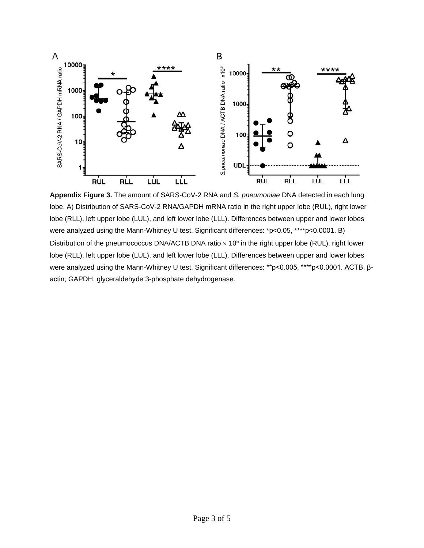

**Appendix Figure 3.** The amount of SARS-CoV-2 RNA and *S. pneumoniae* DNA detected in each lung lobe. A) Distribution of SARS-CoV-2 RNA/GAPDH mRNA ratio in the right upper lobe (RUL), right lower lobe (RLL), left upper lobe (LUL), and left lower lobe (LLL). Differences between upper and lower lobes were analyzed using the Mann-Whitney U test. Significant differences: \*p<0.05, \*\*\*\*p<0.0001. B) Distribution of the pneumococcus DNA/ACTB DNA ratio  $\times$  10<sup>5</sup> in the right upper lobe (RUL), right lower lobe (RLL), left upper lobe (LUL), and left lower lobe (LLL). Differences between upper and lower lobes were analyzed using the Mann-Whitney U test. Significant differences: \*\*p<0.005, \*\*\*\*p<0.0001. ACTB, βactin; GAPDH, glyceraldehyde 3-phosphate dehydrogenase.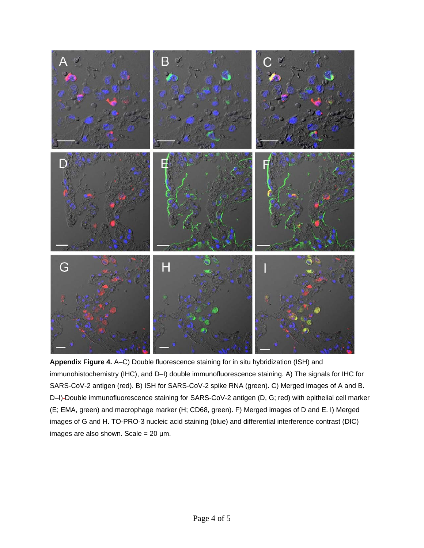

**Appendix Figure 4.** A–C) Double fluorescence staining for in situ hybridization (ISH) and immunohistochemistry (IHC), and D–I) double immunofluorescence staining. A) The signals for IHC for SARS-CoV-2 antigen (red). B) ISH for SARS-CoV-2 spike RNA (green). C) Merged images of A and B. D-I)-Double immunofluorescence staining for SARS-CoV-2 antigen (D, G; red) with epithelial cell marker (E; EMA, green) and macrophage marker (H; CD68, green). F) Merged images of D and E. I) Merged images of G and H. TO-PRO-3 nucleic acid staining (blue) and differential interference contrast (DIC) images are also shown. Scale =  $20 \mu m$ .